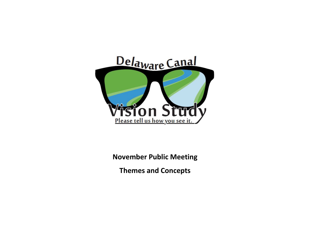

**November Public Meeting** 

**Themes and Concepts**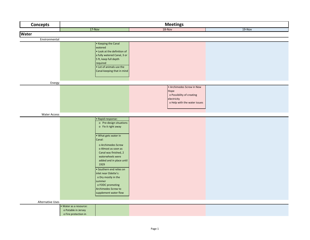| <b>Concepts</b>         | <b>Meetings</b>                                                       |                                                                                                                                                                                                                                                                                                                                                                          |                                                                                                               |        |  |
|-------------------------|-----------------------------------------------------------------------|--------------------------------------------------------------------------------------------------------------------------------------------------------------------------------------------------------------------------------------------------------------------------------------------------------------------------------------------------------------------------|---------------------------------------------------------------------------------------------------------------|--------|--|
|                         | $17-Nov$                                                              |                                                                                                                                                                                                                                                                                                                                                                          | 18-Nov                                                                                                        | 19-Nov |  |
| <b>Water</b>            |                                                                       |                                                                                                                                                                                                                                                                                                                                                                          |                                                                                                               |        |  |
| Environmental           |                                                                       |                                                                                                                                                                                                                                                                                                                                                                          |                                                                                                               |        |  |
|                         | watered<br>required                                                   | • Keeping the Canal<br>. Look at the definition of<br>a fully watered Canal, 3 or<br>5 ft, keep full depth<br>• Lot of animals use the<br>Canal-keeping that in mind                                                                                                                                                                                                     |                                                                                                               |        |  |
| Energy                  |                                                                       |                                                                                                                                                                                                                                                                                                                                                                          |                                                                                                               |        |  |
|                         |                                                                       |                                                                                                                                                                                                                                                                                                                                                                          | • Archimedes Screw in New<br>Hope<br>o Possibility of creating<br>electricity<br>o Help with the water issues |        |  |
| <b>Water Access</b>     |                                                                       |                                                                                                                                                                                                                                                                                                                                                                          |                                                                                                               |        |  |
|                         | Canal:<br>summer                                                      | · Rapid-response:<br>o Pre-design situations<br>o Fix it right away<br>• What gets water in<br>o Archimedes Screw<br>o Almost as soon as<br>Canal was finished, 2<br>waterwheels were<br>added and in place until<br>1929<br>· Southern end relies on<br>inlet near Odette's:<br>o Dry mostly in the<br>o FODC promoting<br>Archimedes Screw to<br>supplement water flow |                                                                                                               |        |  |
| <b>Alternative Uses</b> |                                                                       |                                                                                                                                                                                                                                                                                                                                                                          |                                                                                                               |        |  |
|                         | · Water as a resource:<br>o Potable in Jersey<br>o Fire protection in |                                                                                                                                                                                                                                                                                                                                                                          |                                                                                                               |        |  |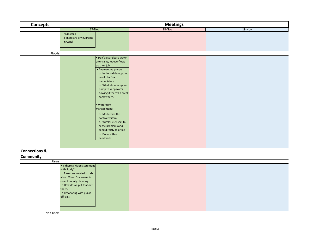| <b>Concepts</b>          | <b>Meetings</b>                                    |                            |        |        |  |
|--------------------------|----------------------------------------------------|----------------------------|--------|--------|--|
|                          | $17-Nov$                                           |                            | 18-Nov | 19-Nov |  |
|                          | Plumstead                                          |                            |        |        |  |
|                          | o There are dry hydrants                           |                            |        |        |  |
|                          | in Canal                                           |                            |        |        |  |
|                          |                                                    |                            |        |        |  |
| Floods                   |                                                    |                            |        |        |  |
|                          |                                                    | · Don't just release water |        |        |  |
|                          |                                                    | after rains, let overflows |        |        |  |
|                          |                                                    | do their job               |        |        |  |
|                          |                                                    | • Augmenting pumps         |        |        |  |
|                          |                                                    | o In the old days, pump    |        |        |  |
|                          |                                                    | would be fixed             |        |        |  |
|                          |                                                    | immediately                |        |        |  |
|                          |                                                    | o What about a siphon      |        |        |  |
|                          |                                                    | pump to keep water         |        |        |  |
|                          |                                                    | flowing if there's a break |        |        |  |
|                          |                                                    | somewhere?                 |        |        |  |
|                          |                                                    | · Water flow               |        |        |  |
|                          |                                                    | management:                |        |        |  |
|                          |                                                    | o Modernize this           |        |        |  |
|                          |                                                    | control system             |        |        |  |
|                          |                                                    | o Wireless sensors to      |        |        |  |
|                          |                                                    | sense problems and         |        |        |  |
|                          |                                                    | send directly to office    |        |        |  |
|                          |                                                    | o Done within              |        |        |  |
|                          |                                                    | Landmark                   |        |        |  |
|                          |                                                    |                            |        |        |  |
| <b>Connections &amp;</b> |                                                    |                            |        |        |  |
| Community                |                                                    |                            |        |        |  |
| Users                    |                                                    |                            |        |        |  |
|                          | • Is there a Vision Statement                      |                            |        |        |  |
|                          | with Study?                                        |                            |        |        |  |
|                          | o Everyone wanted to talk                          |                            |        |        |  |
|                          | about Vision Statement in                          |                            |        |        |  |
|                          | recent county planning<br>o How do we put that out |                            |        |        |  |
|                          | there?                                             |                            |        |        |  |
|                          | o Resonating with public                           |                            |        |        |  |
|                          | officials                                          |                            |        |        |  |
|                          |                                                    |                            |        |        |  |
|                          |                                                    |                            |        |        |  |
|                          |                                                    |                            |        |        |  |
| Non-Users                |                                                    |                            |        |        |  |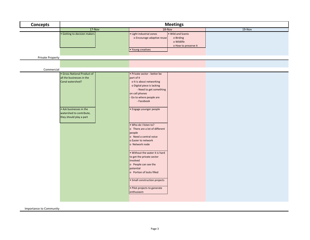| <b>Concepts</b>         | <b>Meetings</b>                                                                                                                                                |                                                                                                                                                                                                                                                                                                                                                                                                                                                                                                                                                                                          |        |  |  |
|-------------------------|----------------------------------------------------------------------------------------------------------------------------------------------------------------|------------------------------------------------------------------------------------------------------------------------------------------------------------------------------------------------------------------------------------------------------------------------------------------------------------------------------------------------------------------------------------------------------------------------------------------------------------------------------------------------------------------------------------------------------------------------------------------|--------|--|--|
|                         | $17-Nov$                                                                                                                                                       | 18-Nov                                                                                                                                                                                                                                                                                                                                                                                                                                                                                                                                                                                   | 19-Nov |  |  |
|                         | • Getting to decision makers                                                                                                                                   | . Wild and Scenic<br>• Light industrial zones<br>o Encourage adaptive reuse<br>o Birding<br>o Wildlife<br>o How to preserve it<br>• Young creatives                                                                                                                                                                                                                                                                                                                                                                                                                                      |        |  |  |
| <b>Private Property</b> |                                                                                                                                                                |                                                                                                                                                                                                                                                                                                                                                                                                                                                                                                                                                                                          |        |  |  |
|                         |                                                                                                                                                                |                                                                                                                                                                                                                                                                                                                                                                                                                                                                                                                                                                                          |        |  |  |
| Commercial              |                                                                                                                                                                |                                                                                                                                                                                                                                                                                                                                                                                                                                                                                                                                                                                          |        |  |  |
|                         | • Gross National Product of<br>all the businesses in the<br>Canal watershed?<br>• Ask businesses in the<br>watershed to contribute,<br>they should play a part | · Private sector - better be<br>part of it<br>o It is about networking<br>o Digital piece is lacking<br>- Need to get something<br>on cell phones<br>Go to where people are<br>- Facebook<br>• Engage younger people<br>. Who do I listen to?<br>o There are a lot of different<br>people<br>o Need a central voice<br>o Easier to network<br>o Network node<br>• Without the water it is hard<br>to get the private sector<br>involved<br>o People can see the<br>potential<br>o Portion of locks filled<br>• Small construction projects<br>· Pilot projects to generate<br>enthusiasm |        |  |  |

Importance to Community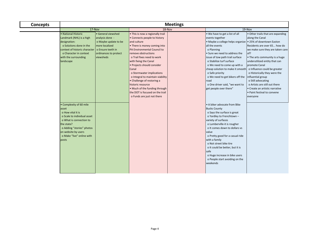| <b>Concepts</b> | <b>Meetings</b>                                                                                                                                                                                                         |                                                                                                                                            |                                                                                                                                                                                                                                                                                                                                                                                                                                                                                           |  |                                                                                                                                                                                                                                                                                                                                                                                                                                             |                                                                                                                                                                                                                                                                                                                                                                                                                                             |
|-----------------|-------------------------------------------------------------------------------------------------------------------------------------------------------------------------------------------------------------------------|--------------------------------------------------------------------------------------------------------------------------------------------|-------------------------------------------------------------------------------------------------------------------------------------------------------------------------------------------------------------------------------------------------------------------------------------------------------------------------------------------------------------------------------------------------------------------------------------------------------------------------------------------|--|---------------------------------------------------------------------------------------------------------------------------------------------------------------------------------------------------------------------------------------------------------------------------------------------------------------------------------------------------------------------------------------------------------------------------------------------|---------------------------------------------------------------------------------------------------------------------------------------------------------------------------------------------------------------------------------------------------------------------------------------------------------------------------------------------------------------------------------------------------------------------------------------------|
|                 | 17-Nov                                                                                                                                                                                                                  |                                                                                                                                            | 18-Nov                                                                                                                                                                                                                                                                                                                                                                                                                                                                                    |  | 19-Nov                                                                                                                                                                                                                                                                                                                                                                                                                                      |                                                                                                                                                                                                                                                                                                                                                                                                                                             |
|                 | · National Historic<br>Landmark (NHL) is a high<br>designation:<br>o Solutions done in the<br>context of historic character<br>o Character in context<br>with the surrounding<br>landscape                              | • General viewshed<br>analysis done -<br>o Maybe update to be<br>more localized<br>o Ensure teeth in<br>ordinances to protect<br>viewsheds | • This is now a regionally trail<br>• Connects people to history<br>and culture<br>• There is money coming into<br>PA Environmental Council to<br>remove obstructions<br>o Trail fixes need to work<br>with fixing the Canal<br>· Projects should consider<br>Canal<br>o Stormwater implications<br>o Integral to maintain viability<br>• Challenge of restoring a<br>historic resource<br>• Much of the funding through<br>the DOT is focused on the trail<br>o Funds are just not there |  | . We have to get a list of all<br>events together<br>• Maybe a college helps organize • 25% of downtown Easton<br>all the events<br>o Planning<br>• Sure we need to address the<br>issue of tow path trail surface<br>o Stabilize turf surface<br>o We need to come up with a<br>cheap solution to make it smooth<br>o Safe priority<br>o We need to get bikers off the<br>road<br>o One driver said, "we want to<br>get people over there" | · Other trails that are expanding<br>along the Canal<br>Residents are over 65 how do<br>we make sure they are taken care<br>of?<br>• The arts community is a huge<br>underutilized entity that can<br>promote Canal<br>o Influence could be greater<br>o Historically they were the<br>nfluential group<br>o Still advocating<br>o Artists are still out there<br>· Create an artistic narrative<br>• Paint festival to convene<br>everyone |
|                 | • Complexity of 60 mile<br>asset<br>o How vital it is<br>o Scale to individual asset<br>o What is connection to<br>the state?<br>o Adding "stories" photos<br>on website by users<br>o Make "live" online with<br>posts |                                                                                                                                            |                                                                                                                                                                                                                                                                                                                                                                                                                                                                                           |  | • A biker advocate from Bike<br><b>Bucks County</b><br>o Says the surface is great<br>o Yardley to Frenchtown -<br>variety of surfaces<br>o Lumberville-it is rougher<br>o It comes down to dollars vs<br>value<br>o Pretty good for a casual ride<br>with a family<br>o Not street bike tire<br>o It could be better, but it is<br>safe<br>o Huge increase in bike users<br>o People start avoiding on the<br>weekends                     |                                                                                                                                                                                                                                                                                                                                                                                                                                             |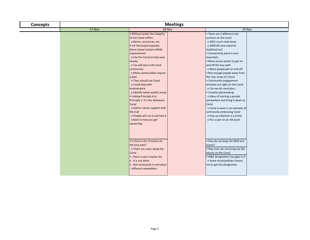| <b>Concepts</b> | <b>Meetings</b> |                                                                                                                                                                                                                                                                                                                                                                                                                                                                                                                                                                                                                                                                                      |                                                                                                                                                                                                                                                                                                                                                                                                                                                                                                                                                                                                                                                                                                                                                                         |  |  |
|-----------------|-----------------|--------------------------------------------------------------------------------------------------------------------------------------------------------------------------------------------------------------------------------------------------------------------------------------------------------------------------------------------------------------------------------------------------------------------------------------------------------------------------------------------------------------------------------------------------------------------------------------------------------------------------------------------------------------------------------------|-------------------------------------------------------------------------------------------------------------------------------------------------------------------------------------------------------------------------------------------------------------------------------------------------------------------------------------------------------------------------------------------------------------------------------------------------------------------------------------------------------------------------------------------------------------------------------------------------------------------------------------------------------------------------------------------------------------------------------------------------------------------------|--|--|
|                 | $17-Nov$        | 18-Nov                                                                                                                                                                                                                                                                                                                                                                                                                                                                                                                                                                                                                                                                               | 19-Nov                                                                                                                                                                                                                                                                                                                                                                                                                                                                                                                                                                                                                                                                                                                                                                  |  |  |
|                 |                 | . Without water the integrity<br>of the Canal suffers<br>o Berms, structures, etc.<br>• For Municipal Separate<br>Storm Sewer System (MS4)<br>requirements<br>o Use the Canal to help save<br>money<br>o Tax will stay in the local<br>community<br>o Many communities require<br>a plan<br>o They should use Canal<br>o Could help with<br>maintenance<br>o Identify water quality issues<br>• Linking Principle 4 to<br>Principle 1: It's Our Delaware<br>Canal<br>o Gather citizen support with<br>the trail<br>o People will use it and love it<br>o Back to how you get<br>ownership<br>. Is there a list of events on<br>the tow path?<br>o There are races along the<br>Canal | • There are 3 different trail<br>surfaces on the canal<br>o 2001 crush read stone<br>o 2004-06 new material<br>stabilized turf<br>• Connectivity piece is very<br>important<br>· More access points to get on<br>and off the tow path<br>o More people get on and off<br>. Not enough people away from<br>the river know it's there<br>• Community engagement<br>activities are right on the Canal<br>o Can we do canal plus<br>• Creative placemaking<br>o Ideas of starting a parade<br>somewhere and bring it down to<br>Canal<br>o Canal-o-ween is an example of<br>community embracing Canal<br>o Pop up urbanism is a trend<br>o Put a spin on an old asset<br>. How do we keep the Wild and<br>Scenic?<br>. How ever we can bring out the<br>beauty on the Canal |  |  |
|                 |                 | • There is not a master list<br>o It is out there<br>o Not necessarily in one place<br>- different newsletters                                                                                                                                                                                                                                                                                                                                                                                                                                                                                                                                                                       | · W&S Designation has gaps in it<br>o Some municipalities choose<br>not to get the designation                                                                                                                                                                                                                                                                                                                                                                                                                                                                                                                                                                                                                                                                          |  |  |
|                 |                 |                                                                                                                                                                                                                                                                                                                                                                                                                                                                                                                                                                                                                                                                                      |                                                                                                                                                                                                                                                                                                                                                                                                                                                                                                                                                                                                                                                                                                                                                                         |  |  |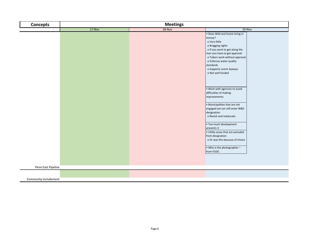| <b>Concepts</b>       |          | <b>Meetings</b> |                                                                                                                                                                                                                                                                                 |
|-----------------------|----------|-----------------|---------------------------------------------------------------------------------------------------------------------------------------------------------------------------------------------------------------------------------------------------------------------------------|
|                       | $17-Nov$ | $18-Nov$        | $19-Nov$                                                                                                                                                                                                                                                                        |
|                       |          |                 | . Does Wild and Scenic bring in<br>money?<br>o Very little<br>o Bragging rights<br>o If you want to get along the<br>river you have to get approval<br>o Tubers work without approval<br>o Enforces water quality<br>standards<br>o Supports scenic byways<br>o Not well funded |
|                       |          |                 | . Work with agencies to avoid<br>difficulties of making<br>improvements<br>• Municipalities that are not<br>engaged yet can still enter W&S<br>designation<br>o Revisit and reeducate                                                                                           |
|                       |          |                 | · Too much development<br>prevents it<br>. Utility areas that are excluded<br>from designation<br>o Or was this because of choice                                                                                                                                               |
|                       |          |                 | . Who is the photographer-<br>from FODC                                                                                                                                                                                                                                         |
| Penn East Pipeline    |          |                 |                                                                                                                                                                                                                                                                                 |
|                       |          |                 |                                                                                                                                                                                                                                                                                 |
| Community Includement |          |                 |                                                                                                                                                                                                                                                                                 |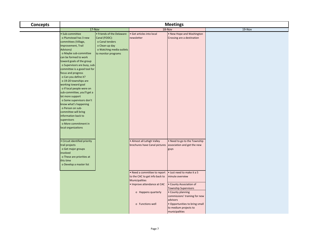| <b>Concepts</b> | <b>Meetings</b>                                                                                                                                                                                                                                                                                                                                                                                                                                                                                                                                                         |                                                                                                                                    |                                                                                                                                                                                |                                                                                                                                                                                |        |
|-----------------|-------------------------------------------------------------------------------------------------------------------------------------------------------------------------------------------------------------------------------------------------------------------------------------------------------------------------------------------------------------------------------------------------------------------------------------------------------------------------------------------------------------------------------------------------------------------------|------------------------------------------------------------------------------------------------------------------------------------|--------------------------------------------------------------------------------------------------------------------------------------------------------------------------------|--------------------------------------------------------------------------------------------------------------------------------------------------------------------------------|--------|
|                 | $17-Nov$                                                                                                                                                                                                                                                                                                                                                                                                                                                                                                                                                                |                                                                                                                                    | 18-Nov                                                                                                                                                                         |                                                                                                                                                                                | 19-Nov |
|                 | · Sub-committee<br>o Plumstead has 3 new<br>committees (Village,<br>Improvement, Trail<br>Advisory)<br>o Maybe sub-committee<br>can be formed to work<br>toward goals of the group<br>o Supervisors are busy, sub-<br>committee is a good tool for<br>focus and progress<br>o Can you define it?<br>o 19-20 townships are<br>working toward goal<br>o If local people were on<br>sub-committee, you'll get a<br>lot more support<br>o Some supervisors don't<br>know what's happening<br>o Person on sub-<br>committee will bring<br>information back to<br>supervisors | • Friends of the Delaware<br>Canal (FODC):<br>o Canal tenders<br>o Clean-up day<br>o Watching media outlets<br>to monitor programs | · Get articles into local<br>newsletter                                                                                                                                        | . New Hope and Washington<br>Crossing are a destination                                                                                                                        |        |
|                 | o More commitment in<br>local organizations<br>· Circuit identified priority<br>trail projects<br>o Get major groups<br>involved<br>o These are priorities at<br>this time<br>o Develop a master list                                                                                                                                                                                                                                                                                                                                                                   |                                                                                                                                    | • Almost all Lehigh Valley<br>brochures have Canal pictures<br>. Need a committee to report<br>to the CAC to get info back to<br>Municipalities<br>. Improve attendance at CAC | . Need to go to the Township<br>association and get the new<br>guys<br>· Just need to make it a 5<br>minute overview<br>• County Association of<br><b>Township Supervisors</b> |        |
|                 |                                                                                                                                                                                                                                                                                                                                                                                                                                                                                                                                                                         |                                                                                                                                    | o Happens quarterly<br>o Functions well                                                                                                                                        | • County planning<br>commissions' training for new<br>advisors<br>. Opportunities to bring small<br>to medium projects to<br>municipalities                                    |        |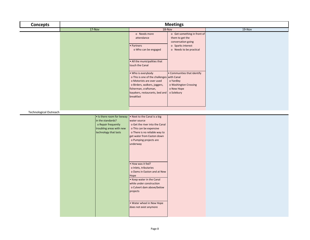| <b>Concepts</b>               | <b>Meetings</b>                                                                               |                                                                                                                                                                                                    |        |  |
|-------------------------------|-----------------------------------------------------------------------------------------------|----------------------------------------------------------------------------------------------------------------------------------------------------------------------------------------------------|--------|--|
|                               | $17-Nov$                                                                                      | 18-Nov                                                                                                                                                                                             | 19-Nov |  |
|                               |                                                                                               | o Get something in front of<br>o Needs more<br>attendance<br>them to get the<br>conversation going<br>· Partners<br>o Sparks interest                                                              |        |  |
|                               |                                                                                               | o Who can be engaged<br>o Needs to be practical                                                                                                                                                    |        |  |
|                               |                                                                                               | . All the municipalities that<br>touch the Canal                                                                                                                                                   |        |  |
|                               |                                                                                               | • Communities that identify<br>• Who is everybody<br>o This is one of the challenges with Canal<br>o Motorists are over used<br>o Yardley<br>o Birders, walkers, joggers,<br>o Washington Crossing |        |  |
|                               |                                                                                               | fisherman, craftsman,<br>o New Hope<br>kayakers, restaurants, bed and<br>o Solebury<br>breakfast                                                                                                   |        |  |
|                               |                                                                                               |                                                                                                                                                                                                    |        |  |
| <b>Technological Outreach</b> |                                                                                               |                                                                                                                                                                                                    |        |  |
|                               | • Is there room for leeway                                                                    | . Next to the Canal is a big                                                                                                                                                                       |        |  |
|                               | in the standards?<br>o Repair frequently<br>troubling areas with new<br>technology that lasts | water source<br>o Get the river into the Canal<br>o This can be expensive<br>o There is no reliable way to<br>get water from Easton down<br>o Pumping projects are<br>underway                     |        |  |
|                               |                                                                                               | • How was it fed?<br>o Inlets, tributaries<br>o Dams in Easton and at New<br>Hope<br>• Keep water in the Canal<br>while under construction<br>o Culvert dam above/below<br>projects                |        |  |
|                               |                                                                                               | . Water wheel in New Hope<br>does not exist anymore                                                                                                                                                |        |  |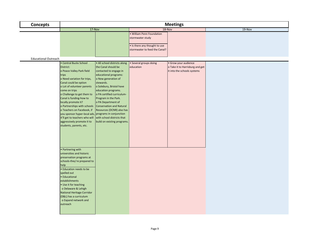| <b>Concepts</b>             | <b>Meetings</b>                                                                                                                                                                                                                                                                                                                                                                                                                                        |                                                                                                                                                                                                                                                                                                                                                                        |                                                                                     |                                                                |        |
|-----------------------------|--------------------------------------------------------------------------------------------------------------------------------------------------------------------------------------------------------------------------------------------------------------------------------------------------------------------------------------------------------------------------------------------------------------------------------------------------------|------------------------------------------------------------------------------------------------------------------------------------------------------------------------------------------------------------------------------------------------------------------------------------------------------------------------------------------------------------------------|-------------------------------------------------------------------------------------|----------------------------------------------------------------|--------|
|                             | 17-Nov                                                                                                                                                                                                                                                                                                                                                                                                                                                 |                                                                                                                                                                                                                                                                                                                                                                        | 18-Nov                                                                              |                                                                | 19-Nov |
|                             |                                                                                                                                                                                                                                                                                                                                                                                                                                                        |                                                                                                                                                                                                                                                                                                                                                                        | <b>William Penn Foundation</b><br>stormwater study<br>. Is there any thought to use |                                                                |        |
|                             |                                                                                                                                                                                                                                                                                                                                                                                                                                                        |                                                                                                                                                                                                                                                                                                                                                                        | stormwater to feed the Canal?                                                       |                                                                |        |
| <b>Educational Outreach</b> |                                                                                                                                                                                                                                                                                                                                                                                                                                                        |                                                                                                                                                                                                                                                                                                                                                                        |                                                                                     |                                                                |        |
|                             | • Central Bucks School                                                                                                                                                                                                                                                                                                                                                                                                                                 | · All school districts along                                                                                                                                                                                                                                                                                                                                           | Several groups doing                                                                | · Grow your audience                                           |        |
|                             | District:<br>o Peace Valley Park field<br>trips<br>o Need variation for trips,<br>Canal could be option<br>o Lot of volunteer parents<br>come on trips<br>o Challenge to get them to<br>Canal is funding-how to<br>locally promote it?<br>o Partnerships with schools<br>o Teachers on Facebook, if<br>you sponsor hyper-local ads, programs in conjunction<br>it'll get to teachers who will<br>aggressively promote it to<br>students, parents, etc. | the Canal should be<br>contacted to engage in<br>educational programs:<br>o New generation of<br>stewards.<br>o Solebury, Bristol have<br>education programs.<br>o PA certified curriculum-<br>Program in the Park.<br>o PA Department of<br><b>Conservation and Natural</b><br>Resources (DCNR) also has<br>with school districts that<br>build on existing programs. | education                                                                           | o Take it to Harrisburg and get<br>it into the schools systems |        |
|                             | • Partnering with<br>universities and historic<br>preservation programs at<br>schools-they're prepared to<br>help<br>· Education needs to be<br>spelled out<br>• Educational<br>establishments<br>• Use it for teaching<br>o Delaware & Lehigh<br>National Heritage Corridor<br>(D&L) has a curriculum<br>o Expand network and<br>outreach                                                                                                             |                                                                                                                                                                                                                                                                                                                                                                        |                                                                                     |                                                                |        |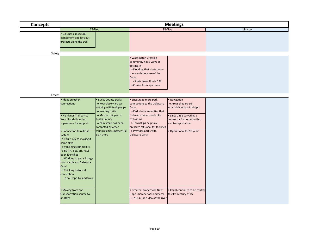| <b>Concepts</b> |                                                                                                                                                                                                                                                                                                               |                                                                                                                                                                                                                    |                                                                                                                                                                                                                               | <b>Meetings</b>                                                                                                                                                   |        |
|-----------------|---------------------------------------------------------------------------------------------------------------------------------------------------------------------------------------------------------------------------------------------------------------------------------------------------------------|--------------------------------------------------------------------------------------------------------------------------------------------------------------------------------------------------------------------|-------------------------------------------------------------------------------------------------------------------------------------------------------------------------------------------------------------------------------|-------------------------------------------------------------------------------------------------------------------------------------------------------------------|--------|
|                 | $17-Nov$                                                                                                                                                                                                                                                                                                      |                                                                                                                                                                                                                    |                                                                                                                                                                                                                               | 18-Nov                                                                                                                                                            | 19-Nov |
|                 | · D&L has a museum<br>component and lays out<br>artifacts along the trail                                                                                                                                                                                                                                     |                                                                                                                                                                                                                    |                                                                                                                                                                                                                               |                                                                                                                                                                   |        |
|                 |                                                                                                                                                                                                                                                                                                               |                                                                                                                                                                                                                    |                                                                                                                                                                                                                               |                                                                                                                                                                   |        |
| Safety          |                                                                                                                                                                                                                                                                                                               |                                                                                                                                                                                                                    | • Washington Crossing                                                                                                                                                                                                         |                                                                                                                                                                   |        |
|                 |                                                                                                                                                                                                                                                                                                               |                                                                                                                                                                                                                    | community has 3 ways of<br>getting in<br>o Flooding that shuts down<br>the area is because of the<br>Canal<br>- Shuts down Route 532<br>o Comes from upstream                                                                 |                                                                                                                                                                   |        |
| Access          |                                                                                                                                                                                                                                                                                                               |                                                                                                                                                                                                                    |                                                                                                                                                                                                                               |                                                                                                                                                                   |        |
|                 | · Ideas on other                                                                                                                                                                                                                                                                                              | · Bucks County trails:                                                                                                                                                                                             | • Encourage more park                                                                                                                                                                                                         | · Navigation                                                                                                                                                      |        |
|                 | connections<br>· Highlands Trail can to<br>West Rockhill-remind<br>supervisors for support<br>• Connection to railroad<br>system<br>o This is key to making it<br>come alive<br>o Vanishing commodity<br>o SEPTA, bus, etc. have<br>been identified<br>o Working to get a linkage<br>from Yardley to Delaware | o How closely are we<br>working with trail groups<br>connecting trails<br>o Master trail plan in<br><b>Bucks County</b><br>o Plumstead has been<br>contacted by other<br>municipalities-master trail<br>plan there | connections to the Delaware<br>Canal<br>o Parks have amenities that<br>Delaware Canal needs like<br>restrooms<br>o Townships help take<br>pressure off Canal for facilities<br>o Provides parks with<br><b>Delaware Canal</b> | o Areas that are still<br>accessible without bridges<br>· Since 1831 served as a<br>connector for communities<br>and transportation<br>• Operational for 99 years |        |
|                 | Canal<br>o Thinking historical<br>connection<br>- New Hope-Ivyland train<br>• Moving from one<br>transportation source to<br>another                                                                                                                                                                          |                                                                                                                                                                                                                    | • Greater Lambertville New<br><b>Hope Chamber of Commerce</b><br>(GLNHCC)-one idea of the river                                                                                                                               | · Canal continues to be central<br>to 21st century of life                                                                                                        |        |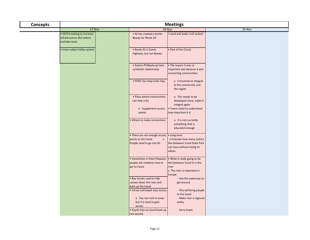| <b>Concepts</b> | <b>Meetings</b>                                                              |                                                                                              |                                                                                                                       |        |  |  |
|-----------------|------------------------------------------------------------------------------|----------------------------------------------------------------------------------------------|-----------------------------------------------------------------------------------------------------------------------|--------|--|--|
|                 | 17-Nov                                                                       |                                                                                              | 18-Nov                                                                                                                | 19-Nov |  |  |
|                 | • SEPTA looking to increase<br>infrastructure like lockers<br>and bike locks | . NJ has created a Scenic<br>Byway for Route 29                                              | . Land and water trail system                                                                                         |        |  |  |
|                 | · Inner-urban trolley system                                                 | • Route 32 is Scenic<br>Highway, but not Byway                                               | Part of the Circuit                                                                                                   |        |  |  |
|                 |                                                                              | • Easton-Phillipsburg have<br>symbiotic relationship                                         | • The reason it was so<br>important was because it was<br>connecting communities                                      |        |  |  |
|                 |                                                                              | • FODC has loop trails map                                                                   | o Conceived as integral<br>to the community and<br>the region                                                         |        |  |  |
|                 |                                                                              | • Place where communities<br>can help a lot                                                  | o This needs to be<br>developed more, make it<br>integral again                                                       |        |  |  |
|                 |                                                                              | o Supplement access<br>points                                                                | . Towns need to understand<br>how important it is                                                                     |        |  |  |
|                 |                                                                              | • Where to make connections                                                                  | o It is not currently<br>something that is<br>educated enough                                                         |        |  |  |
|                 |                                                                              | • There are not enough access<br>points to the Canal<br>$\circ$<br>People need to go into NJ | • Long term<br>o Evaluate how many visitors<br>the Delaware Canal State Park<br>can have without losing its<br>values |        |  |  |
|                 |                                                                              | · Sometimes in Point Pleasant,<br>people ask residents how to<br>get to Canal                | . What is really going to tie<br>the Delaware Canal in is the<br>river<br>o The river is important in<br>Europe       |        |  |  |
|                 |                                                                              | . Boy Scouts used to ride<br>canoes down the river and<br>back up the Canal                  | - Use the waterway to<br>get around                                                                                   |        |  |  |
|                 |                                                                              | • Canoe and kayak easy access<br>o You can rent in areas<br>but it is hard to gain           | - This will bring people<br>to the Canal<br>- Make river a regional<br>entity                                         |        |  |  |
|                 |                                                                              | access<br>• Kayak trips on Canal book up<br>real quickly                                     | - Ferry boats                                                                                                         |        |  |  |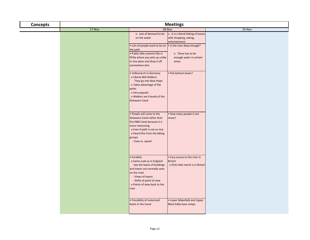| <b>Concepts</b> | <b>Meetings</b> |                                                                                                                                                                                                                                                                                                                      |                                                                                     |          |  |
|-----------------|-----------------|----------------------------------------------------------------------------------------------------------------------------------------------------------------------------------------------------------------------------------------------------------------------------------------------------------------------|-------------------------------------------------------------------------------------|----------|--|
|                 | $17-Nov$        |                                                                                                                                                                                                                                                                                                                      | 18-Nov                                                                              | $19-Nov$ |  |
|                 |                 | o Lots of demand to be<br>on the water                                                                                                                                                                                                                                                                               | o It is a literal linking of towns<br>with shopping, eating,<br>entertainment       |          |  |
|                 |                 | • Lots of people want to be on   • Is the river deep enough?<br>the path<br>· Public bike systems like in<br>Philly where you pick up a bike<br>in one place and drop it off<br>somewhere else<br>. Volksmarch in Germany<br>o Liberty Bell Walkers<br>- They go into New Hope<br>o Takes advantage of flat<br>paths | o There has to be<br>enough water in certain<br>areas<br>Flat bottom boats?         |          |  |
|                 |                 | o Very popular<br>o Walkers are Friends of the<br><b>Delaware Canal</b><br>. People will come to the                                                                                                                                                                                                                 | . How many people is too                                                            |          |  |
|                 |                 | Delaware Canal rather than<br>the D&R Canal because it is<br>more interesting<br>o Even if path is not as nice<br>o Heard this from the biking<br>groups<br>- View vs. speed                                                                                                                                         | many?                                                                               |          |  |
|                 |                 | • Parallels<br>o Same scale as in England<br>- See the backs of buildings<br>and towns not normally seen<br>on the road<br>- Views of towns<br>- Shifts of point of view<br>o Points of view back to the<br>river                                                                                                    | · Easy access to the river in<br><b>Bristol</b><br>o Only tidal marsh is in Bristol |          |  |
|                 |                 | · Possibility of motorized<br>boats in the Canal                                                                                                                                                                                                                                                                     | • Lower Makefield and Upper<br><b>Black Eddy have ramps</b>                         |          |  |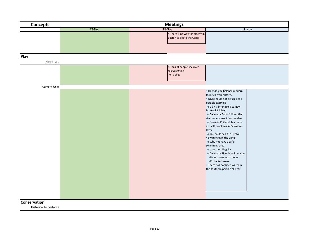| <b>Concepts</b>     | <b>Meetings</b> |                                                                |                                                                                                                                                                                                                                                                                                                                                                                                                                                                                                                                                                                                   |  |  |
|---------------------|-----------------|----------------------------------------------------------------|---------------------------------------------------------------------------------------------------------------------------------------------------------------------------------------------------------------------------------------------------------------------------------------------------------------------------------------------------------------------------------------------------------------------------------------------------------------------------------------------------------------------------------------------------------------------------------------------------|--|--|
|                     | 17-Nov          | 18-Nov                                                         | 19-Nov                                                                                                                                                                                                                                                                                                                                                                                                                                                                                                                                                                                            |  |  |
|                     |                 | • There is no way for elderly in<br>Easton to get to the Canal |                                                                                                                                                                                                                                                                                                                                                                                                                                                                                                                                                                                                   |  |  |
| Play                |                 |                                                                |                                                                                                                                                                                                                                                                                                                                                                                                                                                                                                                                                                                                   |  |  |
| <b>New Uses</b>     |                 |                                                                |                                                                                                                                                                                                                                                                                                                                                                                                                                                                                                                                                                                                   |  |  |
|                     |                 | • Tons of people use river<br>recreationally<br>o Tubing       |                                                                                                                                                                                                                                                                                                                                                                                                                                                                                                                                                                                                   |  |  |
| <b>Current Uses</b> |                 |                                                                |                                                                                                                                                                                                                                                                                                                                                                                                                                                                                                                                                                                                   |  |  |
|                     |                 |                                                                | · How do you balance modern<br>facilities with history?<br>• D&R should not be used as a<br>potable example<br>o D&R is interlinked to New<br>Brunswick inland<br>o Delaware Canal follows the<br>river so why use it for potable<br>o Down in Philadelphia there<br>are salt problems in Delaware<br>River<br>o You could sell it in Bristol<br>• Swimming in the Canal<br>o Why not have a safe<br>swimming area<br>o It goes on illegally<br>o Delaware River is swimmable<br>- Have buoys with the net<br>- Protected areas<br>• There has not been water in<br>the southern portion all year |  |  |
| Conservation        |                 |                                                                |                                                                                                                                                                                                                                                                                                                                                                                                                                                                                                                                                                                                   |  |  |
|                     |                 |                                                                |                                                                                                                                                                                                                                                                                                                                                                                                                                                                                                                                                                                                   |  |  |

Historical Importance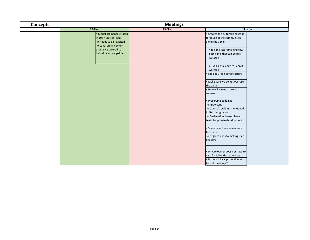| <b>Concepts</b> | <b>Meetings</b>                                                                                                              |        |                                                                                                                                                                                                                             |  |  |  |
|-----------------|------------------------------------------------------------------------------------------------------------------------------|--------|-----------------------------------------------------------------------------------------------------------------------------------------------------------------------------------------------------------------------------|--|--|--|
|                 | $17-Nov$                                                                                                                     | 18-Nov | $19-Nov$                                                                                                                                                                                                                    |  |  |  |
|                 | • Model ordinances stated<br>in 1987 Master Plan:<br>o Needs to be revisited<br>o Canal enhancement<br>ordinance tailored to |        | • Creates the cultural landscape<br>for much of the communities<br>along the Canal<br>• It is the last remaining tow                                                                                                        |  |  |  |
|                 | individual municipalities                                                                                                    |        | path canal that can be fully<br>watered<br>o Still a challenge to keep it<br>watered<br>• Look at Green infrastructure<br>· Make sure we do not overuse<br>the Canal<br>. How will we measure our                           |  |  |  |
|                 |                                                                                                                              |        | success<br>• Preserving buildings<br>o Important<br>o Odette's building mentioned<br>in NHL designation<br>o Designation doesn't have<br>teeth for private development                                                      |  |  |  |
|                 |                                                                                                                              |        | • Some have been an eye sore<br>for years<br>o Neglect leads to making it an<br>eye sore<br>. Private owner does not have to<br>care for it like the state does<br>. Is there a local protection for<br>historic buildings? |  |  |  |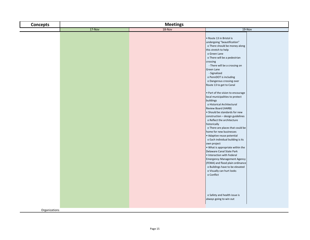| <b>Concepts</b> | <b>Meetings</b> |        |                                                                                                                                                                                                                                                                                                                                                                                                                                                                                                                                                                                                                                                                                                                                                                                                                                                                                                                                                                                                                                                              |  |  |
|-----------------|-----------------|--------|--------------------------------------------------------------------------------------------------------------------------------------------------------------------------------------------------------------------------------------------------------------------------------------------------------------------------------------------------------------------------------------------------------------------------------------------------------------------------------------------------------------------------------------------------------------------------------------------------------------------------------------------------------------------------------------------------------------------------------------------------------------------------------------------------------------------------------------------------------------------------------------------------------------------------------------------------------------------------------------------------------------------------------------------------------------|--|--|
|                 | $17-Nov$        | 18-Nov | $19-Nov$                                                                                                                                                                                                                                                                                                                                                                                                                                                                                                                                                                                                                                                                                                                                                                                                                                                                                                                                                                                                                                                     |  |  |
|                 |                 |        | Route 13 in Bristol is<br>undergoing "beautification"<br>o There should be money along<br>this stretch to help<br>o Green Lane<br>o There will be a pedestrian<br>crossing<br>- There will be a crossing on<br>Green Lane<br>- Signalized<br>o PennDOT is including<br>o Dangerous crossing over<br>Route 13 to get to Canal<br>• Part of the vision to encourage<br>local municipalities to protect<br>buildings<br>o Historical Architectural<br>Review Board (HARB)<br>• Should be standards for new<br>construction - design guidelines<br>o Reflect the architecture<br>historically<br>o There are places that could be<br>home for new businesses<br>· Adaptive reuse potential<br>o Each individual building is its<br>own project<br>. What is appropriate within the<br>Delaware Canal State Park<br>• Interaction with Federal<br><b>Emergency Management Agency</b><br>(FEMA) and flood plain ordinance<br>o Buildings have to be elevated<br>o Visually can hurt looks<br>o Conflict<br>o Safety and health issue is<br>always going to win out |  |  |
|                 |                 |        |                                                                                                                                                                                                                                                                                                                                                                                                                                                                                                                                                                                                                                                                                                                                                                                                                                                                                                                                                                                                                                                              |  |  |
| Organizations   |                 |        |                                                                                                                                                                                                                                                                                                                                                                                                                                                                                                                                                                                                                                                                                                                                                                                                                                                                                                                                                                                                                                                              |  |  |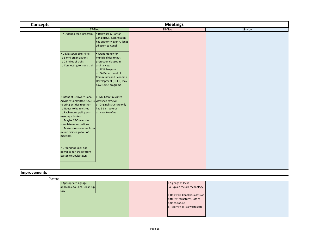| <b>Concepts</b> | <b>Meetings</b>                                                                                                                                                                                                                                                                                            |                                                                                                                                                                                                      |        |          |  |
|-----------------|------------------------------------------------------------------------------------------------------------------------------------------------------------------------------------------------------------------------------------------------------------------------------------------------------------|------------------------------------------------------------------------------------------------------------------------------------------------------------------------------------------------------|--------|----------|--|
|                 | $17-Nov$                                                                                                                                                                                                                                                                                                   |                                                                                                                                                                                                      | 18-Nov | $19-Nov$ |  |
|                 | • 'Adopt a Mile' program                                                                                                                                                                                                                                                                                   | · Delaware & Raritan<br>Canal (D&R) Commission<br>has authority over NJ lands<br>adjacent to Canal                                                                                                   |        |          |  |
|                 | · Doylestown Bike-Hike:<br>o 5 or 6 organizations<br>o 24 miles of trails<br>o Connecting to trunk trail                                                                                                                                                                                                   | • Grant money for<br>municipalities to put<br>protection clauses in<br>ordinances:<br>o PCIP Program<br>o PA Department of<br>Community and Economic<br>Development (DCED) may<br>have some programs |        |          |  |
|                 | • Intent of Delaware Canal<br>Advisory Committee (CAC) is viewshed review:<br>to bring entities together<br>o Needs to be revisited<br>o Each municipality gets<br>meeting minutes<br>o Maybe CAC needs to<br>stimulate municipalities<br>o Make sure someone from<br>municipalities go to CAC<br>meetings | PHMC hasn't revisited<br>o Original structure only<br>has 2-3 structures<br>o Have to refine                                                                                                         |        |          |  |
|                 | · Groundhog Lock had<br>power to run trolley from<br>Easton to Doylestown                                                                                                                                                                                                                                  |                                                                                                                                                                                                      |        |          |  |

## **Improvements**

| Signage |                                                        |                                                                                 |  |
|---------|--------------------------------------------------------|---------------------------------------------------------------------------------|--|
|         | • Appropriate signage,<br>applicable to Canal Clean-Up | • Signage at locks<br>o Explain the old technology                              |  |
|         | Day                                                    | . Delaware Canal has a lots of<br>different structures, lots of<br>nomenclature |  |
|         |                                                        | o Morrisville is a waste gate                                                   |  |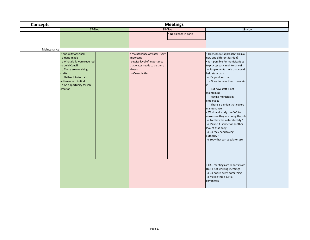| <b>Concepts</b> | <b>Meetings</b>                                                                                                                                                                                                      |                                                                                                                                        |                                                                                                                                                                                                                                                                                                                                                                                                                                                                                                                                                                                                                                      |  |  |
|-----------------|----------------------------------------------------------------------------------------------------------------------------------------------------------------------------------------------------------------------|----------------------------------------------------------------------------------------------------------------------------------------|--------------------------------------------------------------------------------------------------------------------------------------------------------------------------------------------------------------------------------------------------------------------------------------------------------------------------------------------------------------------------------------------------------------------------------------------------------------------------------------------------------------------------------------------------------------------------------------------------------------------------------------|--|--|
|                 | $17-Nov$                                                                                                                                                                                                             | 18-Nov                                                                                                                                 | $19-Nov$                                                                                                                                                                                                                                                                                                                                                                                                                                                                                                                                                                                                                             |  |  |
| Maintenance     |                                                                                                                                                                                                                      | • No signage in parks                                                                                                                  |                                                                                                                                                                                                                                                                                                                                                                                                                                                                                                                                                                                                                                      |  |  |
|                 | • Antiquity of Canal:<br>o Hand-made<br>o What skills were required<br>to build Canal?<br>o These are vanishing<br>crafts<br>o Gather info to train<br>artisans-hard to find<br>o An opportunity for job<br>creation | • Maintenance of water - very<br>important<br>o Raise level of importance<br>that water needs to be there<br>always<br>o Quantify this | . How can we approach this in a<br>new and different fashion?<br>. Is it possible for municipalities<br>to pick up basic maintenance?<br>o Supplemental help that could<br>help state park<br>o It's good and bad<br>- Great to have them maintain<br><b>lit</b><br>- But now staff is not<br>maintaining<br>- Having municipality<br>employees<br>- There is a union that covers<br>maintenance<br>. Work and study the CAC to<br>make sure they are doing the job<br>o Are they the natural entity?<br>o Maybe it is time for another<br>look at that body<br>o Do they need taxing<br>authority?<br>o Body that can speak for use |  |  |
|                 |                                                                                                                                                                                                                      |                                                                                                                                        | • CAC meetings are reports from<br>DCNR-not working meetings<br>o Do not reinvent something<br>o Maybe this is just a<br>committee                                                                                                                                                                                                                                                                                                                                                                                                                                                                                                   |  |  |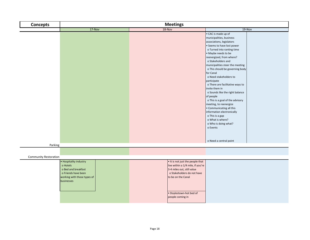| <b>Concepts</b>              |                                                                                                                               | <b>Meetings</b>                                                                                                                                                                                        |                                                                                                                                                                                                                                                                                                                                                                                                                                                                                                                                                                                                                               |  |  |
|------------------------------|-------------------------------------------------------------------------------------------------------------------------------|--------------------------------------------------------------------------------------------------------------------------------------------------------------------------------------------------------|-------------------------------------------------------------------------------------------------------------------------------------------------------------------------------------------------------------------------------------------------------------------------------------------------------------------------------------------------------------------------------------------------------------------------------------------------------------------------------------------------------------------------------------------------------------------------------------------------------------------------------|--|--|
|                              | $17-Nov$                                                                                                                      |                                                                                                                                                                                                        |                                                                                                                                                                                                                                                                                                                                                                                                                                                                                                                                                                                                                               |  |  |
|                              |                                                                                                                               | 18-Nov                                                                                                                                                                                                 | 19-Nov<br>• CAC is made up of<br>municipalities, business<br>associations, legislators<br>• Seems to have lost power<br>o Turned into ranting time<br>• Maybe needs to be<br>reenergized, from where?<br>o Stakeholders and<br>municipalities steer the meeting<br>o This should be governing body<br>for Canal<br>o Need stakeholders to<br>participate<br>o There are facilitative ways to<br>invite them in<br>o Sounds like the right balance<br>of people<br>o This is a goal of the advisory<br>meeting, to reenergize<br>• Communicating all this<br>information electronically<br>o This is a gap<br>o What is where? |  |  |
|                              |                                                                                                                               |                                                                                                                                                                                                        | o Who is doing what?<br>o Events<br>o Need a central point                                                                                                                                                                                                                                                                                                                                                                                                                                                                                                                                                                    |  |  |
| Parking                      |                                                                                                                               |                                                                                                                                                                                                        |                                                                                                                                                                                                                                                                                                                                                                                                                                                                                                                                                                                                                               |  |  |
| <b>Community Restoration</b> |                                                                                                                               |                                                                                                                                                                                                        |                                                                                                                                                                                                                                                                                                                                                                                                                                                                                                                                                                                                                               |  |  |
|                              | • Hospitality industry<br>o Hotels<br>o Bed and breakfast<br>o Friends have been<br>working with those types of<br>businesses | . It is not just the people that<br>live within a 1/4 mile, if you're<br>3-4 miles out, still value<br>o Stakeholders do not have<br>to be on the Canal<br>· Doylestown-hot bed of<br>people coming in |                                                                                                                                                                                                                                                                                                                                                                                                                                                                                                                                                                                                                               |  |  |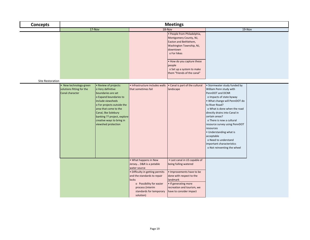| <b>Concepts</b>  | <b>Meetings</b>                                                                                                                                                                                                                                                                                                                                             |                                                                                                                                                                                                                                     |                                                                                                                                                                                                                                           |                                                                                                                                                                                                                                                                                                                                                                                                                                                       |  |
|------------------|-------------------------------------------------------------------------------------------------------------------------------------------------------------------------------------------------------------------------------------------------------------------------------------------------------------------------------------------------------------|-------------------------------------------------------------------------------------------------------------------------------------------------------------------------------------------------------------------------------------|-------------------------------------------------------------------------------------------------------------------------------------------------------------------------------------------------------------------------------------------|-------------------------------------------------------------------------------------------------------------------------------------------------------------------------------------------------------------------------------------------------------------------------------------------------------------------------------------------------------------------------------------------------------------------------------------------------------|--|
|                  | $17-Nov$                                                                                                                                                                                                                                                                                                                                                    | 18-Nov                                                                                                                                                                                                                              |                                                                                                                                                                                                                                           | $19-Nov$                                                                                                                                                                                                                                                                                                                                                                                                                                              |  |
|                  |                                                                                                                                                                                                                                                                                                                                                             |                                                                                                                                                                                                                                     | · People from Philadelphia,<br>Montgomery County, NJ,<br>Easton and Bethlehem,<br>Washington Township, NJ,<br>downtown<br>o For hikes<br>• How do you capture these<br>people<br>o Set up a system to make<br>them "friends of the canal" |                                                                                                                                                                                                                                                                                                                                                                                                                                                       |  |
| Site Restoration |                                                                                                                                                                                                                                                                                                                                                             |                                                                                                                                                                                                                                     |                                                                                                                                                                                                                                           |                                                                                                                                                                                                                                                                                                                                                                                                                                                       |  |
|                  | • New technology-green<br>• Review of projects:<br>solutions fitting for the<br>o Very definitive<br>Canal character<br>boundaries are set<br>o Expand boundaries to<br>include viewsheds<br>o For projects outside the<br>area that come to the<br>Canal, like Solebury<br>banking ?? project, explore<br>creative ways to bring in<br>viewshed protection | · Infrastructure includes walls<br>that sometimes fail                                                                                                                                                                              | • Canal is part of the cultural<br>landscape                                                                                                                                                                                              | · Stormwater study funded by<br>William Penn study with<br>PennDOT and DCNR<br>o Impacts of state byway<br>. What change will PennDOT do<br>to River Road?<br>o What is done when the road<br>directly drains into Canal in<br>certain areas?<br>o There is now a cultural<br>resource survey using PennDOT<br>resources<br>• Understanding what is<br>acceptable<br>o Need to understand<br>important characteristics<br>o Not reinventing the wheel |  |
|                  |                                                                                                                                                                                                                                                                                                                                                             | • What happens in New<br>Jersey D&R is a potable<br>water source<br>· Difficulty in getting permits<br>and the standards to repair<br>locks<br>o Possibility for easier<br>process (interim<br>standards for temporary<br>solution) | • Last canal in US capable of<br>being fulling watered<br>. Improvements have to be<br>done with respect to the<br>landmark<br>• If generating more<br>recreation and tourism, we<br>have to consider impact                              |                                                                                                                                                                                                                                                                                                                                                                                                                                                       |  |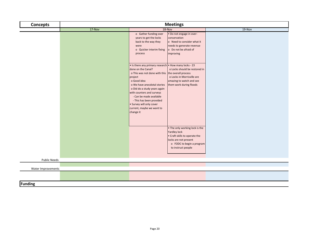| <b>Concepts</b>     | <b>Meetings</b> |                                                                                                                                                                                                                                                                                                                                                                                     |                                                                                                                                                             |        |
|---------------------|-----------------|-------------------------------------------------------------------------------------------------------------------------------------------------------------------------------------------------------------------------------------------------------------------------------------------------------------------------------------------------------------------------------------|-------------------------------------------------------------------------------------------------------------------------------------------------------------|--------|
|                     | $17-Nov$        |                                                                                                                                                                                                                                                                                                                                                                                     | 18-Nov                                                                                                                                                      | 19-Nov |
|                     |                 | o Gather funding over<br>years to get the locks<br>back to the way they<br>were<br>o Quicker interim fixing<br>process                                                                                                                                                                                                                                                              | . Do not engage in over-<br>conservation<br>o Need to consider what it<br>needs to generate revenue<br>o Do not be afraid of<br>improving                   |        |
|                     |                 | • Is there any primary research • How many locks - 23<br>done on the Canal?<br>o This was not done with this the overall process<br>project<br>o Good idea<br>o We have anecdotal stories<br>o Did do a study years again<br>with counters and surveys<br>- Can be made available<br>- This has been provided<br>· Survey will only cover<br>current, maybe we want to<br>change it | o Locks should be restored in<br>o Locks in Morrisville are<br>amazing to watch and see<br>them work during floods                                          |        |
|                     |                 |                                                                                                                                                                                                                                                                                                                                                                                     | . The only working lock is the<br>Yardley lock<br>• Craft skills to operate the<br>locks are not present<br>o FODC to begin a program<br>to instruct people |        |
| <b>Public Needs</b> |                 |                                                                                                                                                                                                                                                                                                                                                                                     |                                                                                                                                                             |        |
|                     |                 |                                                                                                                                                                                                                                                                                                                                                                                     |                                                                                                                                                             |        |
| Water Improvements  |                 |                                                                                                                                                                                                                                                                                                                                                                                     |                                                                                                                                                             |        |
|                     |                 |                                                                                                                                                                                                                                                                                                                                                                                     |                                                                                                                                                             |        |
| <b>Funding</b>      |                 |                                                                                                                                                                                                                                                                                                                                                                                     |                                                                                                                                                             |        |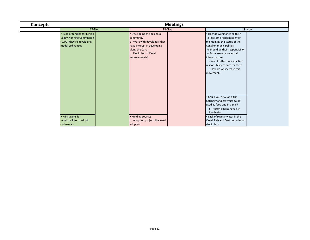| <b>Concepts</b> | <b>Meetings</b>                                                                                                    |                                                                                                                                                                    |                                                                                                                                                                                                                                                                                                                               |  |
|-----------------|--------------------------------------------------------------------------------------------------------------------|--------------------------------------------------------------------------------------------------------------------------------------------------------------------|-------------------------------------------------------------------------------------------------------------------------------------------------------------------------------------------------------------------------------------------------------------------------------------------------------------------------------|--|
|                 | $17-Nov$                                                                                                           | 18-Nov                                                                                                                                                             | 19-Nov                                                                                                                                                                                                                                                                                                                        |  |
|                 | • Type of funding for Lehigh<br><b>Valley Planning Commission</b><br>(LVPC)-they're developing<br>model ordinances | • Developing the business<br>community<br>o Work with developers that<br>have interest in developing<br>along the Canal<br>o Fee in lieu of Canal<br>improvements? | . How do we finance all this?<br>o Put some responsibility of<br>maintaining the status of the<br>Canal on municipalities<br>o Should be their responsibility<br>o Parks are now a central<br>infrastructure<br>- Yes, it is the municipalities'<br>responsibility to care for them<br>- How do we increase this<br>movement? |  |
|                 | • Mini-grants for<br>municipalities to adopt<br>ordinances                                                         | • Funding sources<br>o Adoption projects like road<br>adoption                                                                                                     | · Could you develop a fish<br>hatchery and grow fish to be<br>used as food and in Canal?<br>o Historic parks have fish<br>hatcheries<br>• Lack of regular water in the<br>Canal, Fish and Boat commission<br>stocks less                                                                                                      |  |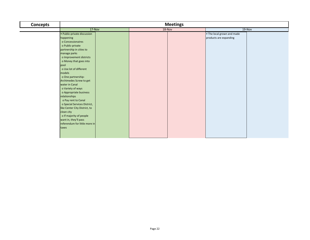| <b>Concepts</b> | <b>Meetings</b>               |  |        |  |                            |        |
|-----------------|-------------------------------|--|--------|--|----------------------------|--------|
|                 | $17-Nov$                      |  | 18-Nov |  |                            | 19-Nov |
|                 | • Public-private discussion   |  |        |  | . The local grown and made |        |
|                 | happening                     |  |        |  | products are expanding     |        |
|                 | o Concessionaires             |  |        |  |                            |        |
|                 | o Public-private              |  |        |  |                            |        |
|                 | partnership in cities to      |  |        |  |                            |        |
|                 | manage parks                  |  |        |  |                            |        |
|                 | o Improvement districts       |  |        |  |                            |        |
|                 | o Money that goes into        |  |        |  |                            |        |
|                 | pool                          |  |        |  |                            |        |
|                 | o Use lot of different        |  |        |  |                            |        |
|                 | models                        |  |        |  |                            |        |
|                 | o One partnership-            |  |        |  |                            |        |
|                 | Archimedes Screw to get       |  |        |  |                            |        |
|                 | water in Canal                |  |        |  |                            |        |
|                 | o Variety of ways             |  |        |  |                            |        |
|                 | o Appropriate business        |  |        |  |                            |        |
|                 | relationships                 |  |        |  |                            |        |
|                 | o Pay rent to Canal           |  |        |  |                            |        |
|                 | o Special Services District,  |  |        |  |                            |        |
|                 | like Center City District, to |  |        |  |                            |        |
|                 | clean city                    |  |        |  |                            |        |
|                 | o If majority of people       |  |        |  |                            |        |
|                 | want in, they'll pass         |  |        |  |                            |        |
|                 | referendum for little more in |  |        |  |                            |        |
|                 | taxes                         |  |        |  |                            |        |
|                 |                               |  |        |  |                            |        |
|                 |                               |  |        |  |                            |        |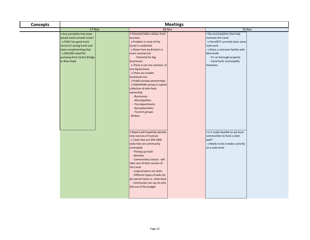| <b>Concepts</b> | <b>Meetings</b>                                                                                                                                                                                                      |                                                                                                                                                                                                                                                                                                                                                                                                                                                                                                                          |                                                                                                                                                                                                                                |  |  |
|-----------------|----------------------------------------------------------------------------------------------------------------------------------------------------------------------------------------------------------------------|--------------------------------------------------------------------------------------------------------------------------------------------------------------------------------------------------------------------------------------------------------------------------------------------------------------------------------------------------------------------------------------------------------------------------------------------------------------------------------------------------------------------------|--------------------------------------------------------------------------------------------------------------------------------------------------------------------------------------------------------------------------------|--|--|
|                 | $17-Nov$                                                                                                                                                                                                             | 18-Nov                                                                                                                                                                                                                                                                                                                                                                                                                                                                                                                   | $19-Nov$                                                                                                                                                                                                                       |  |  |
|                 | . Any possibility that state<br>would match private funds?<br>o FODC has good track<br>record of raising funds and<br>state complimenting that<br>o \$46,000 raised for<br>pumping from Centre Bridge<br>to New Hope | • Potential billion dollars from<br>business<br>o Problem is most of the<br>Canal is residential<br>o Down here by Bristol it is<br>more commercial<br>- Potential for big<br>businesses<br>o There is not one solution, or<br>one big business<br>o There are smaller<br>businesses too<br>o Public-private partnerships<br>o Stakeholder group is a good<br>collection of who feels<br>ownership<br>- Businesses<br>- Municipalities<br>- Fire departments<br>- Recreationalists<br>- Tourism groups<br><b>Birders</b> | . No municipalities that help<br>maintain the Canal<br>o PennDOT currently does some<br>road work<br>o Share a restroom facility with<br>Morrisville<br>- It's on borough property<br>- Canal built, municipality<br>maintains |  |  |
|                 |                                                                                                                                                                                                                      | . Report will hopefully identify<br>new sources of revenue<br>o Tasks that are \$50-100k<br>tasks that are community<br>orientated<br>- Picking up trash<br>- Benches<br>- Communities closest will<br>take care of their section of<br>the Canal<br>- Large projects are state<br>- Different types of tasks for<br>per person basis vs. state basis<br>- Community can say its only<br>\$5k out of the budget                                                                                                          | . Is it really feasible to ask local<br>communities to fund a state<br>park?<br>o Needs to be a made a priority<br>on a state level                                                                                            |  |  |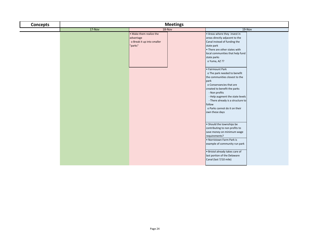| <b>Concepts</b> | <b>Meetings</b> |                                                                               |                                                                                                                                                                                                                                                                                                              |
|-----------------|-----------------|-------------------------------------------------------------------------------|--------------------------------------------------------------------------------------------------------------------------------------------------------------------------------------------------------------------------------------------------------------------------------------------------------------|
|                 | 17-Nov          | 18-Nov                                                                        | 19-Nov                                                                                                                                                                                                                                                                                                       |
|                 |                 | • Make them realize the<br>advantage<br>o Break it up into smaller<br>"parks" | • Areas where they invest in<br>areas directly adjacent to the<br>Canal instead of funding the<br>state park<br>• There are other states with<br>local communities that help fund<br>state parks<br>o Yuma, AZ ??                                                                                            |
|                 |                 |                                                                               | • Fairmount Park<br>o The park needed to benefit<br>the communities closest to the<br>park<br>o Conservancies that are<br>created to benefit the parks<br>- Non profits<br>- Help augment the state levels<br>- There already is a structure to<br>follow<br>o Parks cannot do it on their<br>own these days |
|                 |                 |                                                                               | • Should the townships be<br>contributing to non profits to<br>save money on minimum wage<br>requirements?<br>. Norristown Farm Park is<br>example of community run park<br>· Bristol already takes care of<br>last portion of the Delaware<br>Canal (last 7/10 mile)                                        |